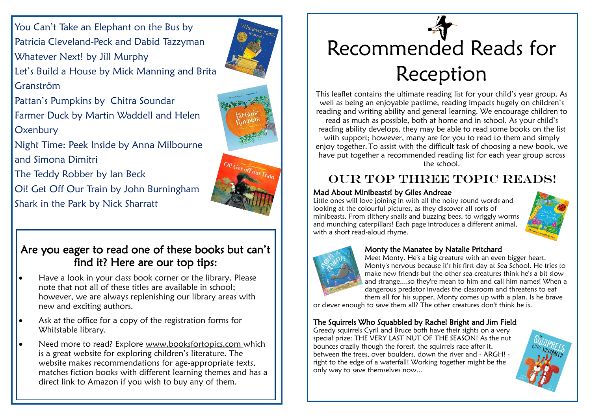You Can't Take an Elephant on the Bus by Patricia Cleveland-Peck and Dabid Tazzyman Whatever Next! by Jill Murphy



Let's Build a House by Mick Manning and Brita Granström

Pattan's Pumpkins by Chitra Soundar Farmer Duck by Martin Waddell and Helen **Oxenbury** 

Night Time: Peek Inside by Anna Milbourne and Simona Dimitri

The Teddy Robber by Ian Beck

Oi! Get Off Our Train by John Burningham Shark in the Park by Nick Sharratt

### Are you eager to read one of these books but can't find it? Here are our top tips:

- Have a look in your class book corner or the library. Please note that not all of these titles are available in school; however, we are always replenishing our library areas with new and exciting authors.
- Ask at the office for a copy of the registration forms for Whitstable library.
- Need more to read? Explore www.booksfortopics.com which is a great website for exploring children's literature. The website makes recommendations for age-appropriate texts, matches fiction books with different learning themes and has a direct link to Amazon if you wish to buy any of them.

# Recommended Reads for Reception

This leaflet contains the ultimate reading list for your child's year group. As well as being an enjoyable pastime, reading impacts hugely on children's reading and writing ability and general learning. We encourage children to read as much as possible, both at home and in school. As your child's reading ability develops, they may be able to read some books on the list with support; however, many are for you to read to them and simply enjoy together. To assist with the difficult task of choosing a new book, we have put together a recommended reading list for each year group across the school.

## OUR TOP THREE TOPIC READS!

#### Mad About Minibeasts! by Giles Andreae

Little ones will love joining in with all the noisy sound words and looking at the colourful pictures, as they discover all sorts of minibeasts. From slithery snails and buzzing bees, to wriggly worms and munching caterpillars! Each page introduces a different animal, with a short read-aloud rhyme.





#### Monty the Manatee by Natalie Pritchard

Meet Monty. He's a big creature with an even bigger heart. Monty's nervous because it's his first day at Sea School. He tries to make new friends but the other sea creatures think he's a bit slow and strange....so they're mean to him and call him names! When a dangerous predator invades the classroom and threatens to eat them all for his supper, Monty comes up with a plan. Is he brave

or clever enough to save them all? The other creatures don't think he is.

#### The Squirrels Who Squabbled by Rachel Bright and Jim Field

Greedy squirrels Cyril and Bruce both have their sights on a very special prize: THE VERY LAST NUT OF THE SEASON! As the nut bounces crazily though the forest, the squirrels race after it, between the trees, over boulders, down the river and - ARGH! right to the edge of a waterfall! Working together might be the only way to save themselves now...